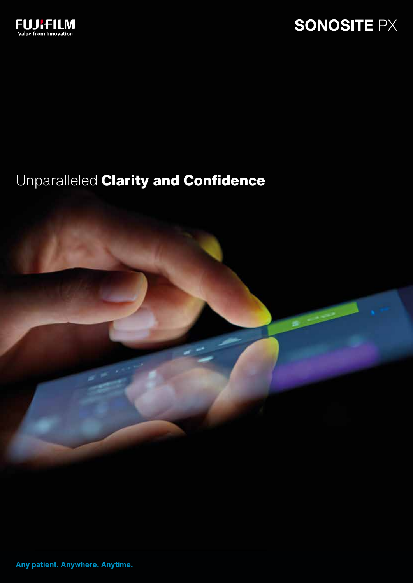

# Unparalleled **Clarity and Confidence**



**Any patient. Anywhere. Anytime.**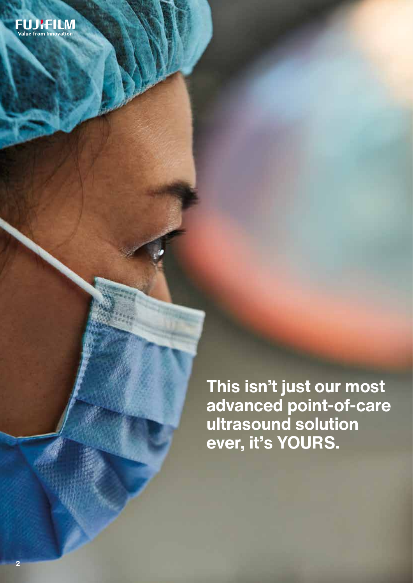**This isn't just our most advanced point-of-care ultrasound solution ever, it's YOURS.**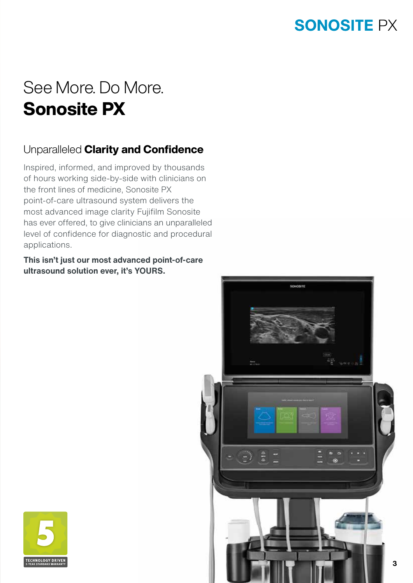# See More. Do More. Sonosite PX

### Unparalleled Clarity and Confidence

Inspired, informed, and improved by thousands of hours working side-by-side with clinicians on the front lines of medicine, Sonosite PX point-of-care ultrasound system delivers the most advanced image clarity Fujifilm Sonosite has ever offered, to give clinicians an unparalleled level of confidence for diagnostic and procedural applications.

**This isn't just our most advanced point-of-care ultrasound solution ever, it's YOURS.**



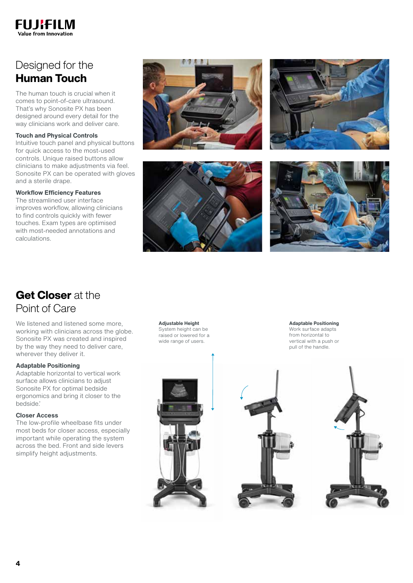

### Designed for the Human Touch

The human touch is crucial when it comes to point-of-care ultrasound. That's why Sonosite PX has been designed around every detail for the way clinicians work and deliver care.

#### **Touch and Physical Controls**

Intuitive touch panel and physical buttons for quick access to the most-used controls. Unique raised buttons allow clinicians to make adjustments via feel. Sonosite PX can be operated with gloves and a sterile drape.

#### **Workflow Efficiency Features**

The streamlined user interface improves workflow, allowing clinicians to find controls quickly with fewer touches. Exam types are optimised with most-needed annotations and calculations.









### Get Closer at the Point of Care

We listened and listened some more, working with clinicians across the globe. Sonosite PX was created and inspired by the way they need to deliver care, wherever they deliver it.

#### **Adaptable Positioning**

Adaptable horizontal to vertical work surface allows clinicians to adjust Sonosite PX for optimal bedside ergonomics and bring it closer to the bedside.\*

#### **Closer Access**

The low-profile wheelbase fits under most beds for closer access, especially important while operating the system across the bed. Front and side levers simplify height adjustments.

**Adjustable Height** System height can be raised or lowered for a wide range of users.

**Adaptable Positioning**

Work surface adapts from horizontal to vertical with a push or pull of the handle.



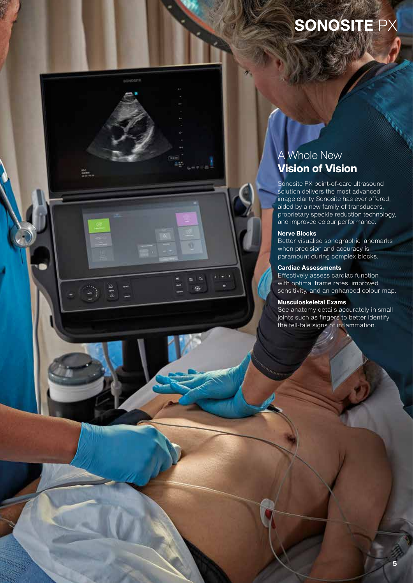### A Whole New Vision of Vision

Sonosite PX point-of-care ultrasound solution delivers the most advanced image clarity Sonosite has ever offered, aided by a new family of transducers, proprietary speckle reduction technology, and improved colour performance.

#### **Nerve Blocks**

BONDSITE

o

**A** ę.

ade<br>Canton<br>Calabra na

Better visualise sonographic landmarks when precision and accuracy is paramount during complex blocks.

#### **Cardiac Assessments**

Effectively assess cardiac function with optimal frame rates, improved sensitivity, and an enhanced colour map.

#### **Musculoskeletal Exams**

See anatomy details accurately in small joints such as fingers to better identify the tell-tale signs of inflammation.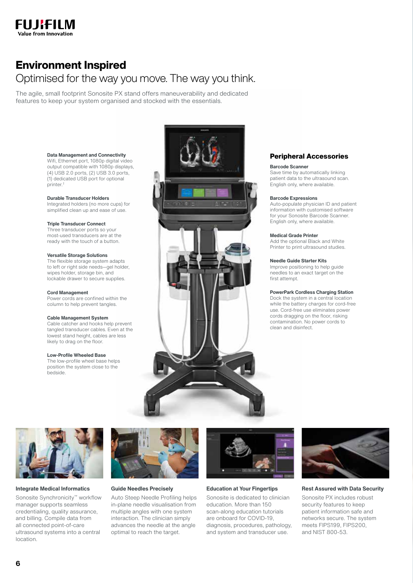

### Environment Inspired

### Optimised for the way you move. The way you think.

The agile, small footprint Sonosite PX stand offers maneuverability and dedicated features to keep your system organised and stocked with the essentials.

#### **Data Management and Connectivity**

Wifi, Ethernet port, 1080p digital video output compatible with 1080p displays, (4) USB 2.0 ports, (2) USB 3.0 ports, (1) dedicated USB port for optional printer.†

#### **Durable Transducer Holders**

Integrated holders (no more cups) for simplified clean up and ease of use.

#### **Triple Transducer Connect**

Three transducer ports so your most-used transducers are at the ready with the touch of a button.

#### **Versatile Storage Solutions**

The flexible storage system adapts to left or right side needs—gel holder, wipes holder, storage bin, and lockable drawer to secure supplies.

#### **Cord Management**

Power cords are confined within the column to help prevent tangles.

#### **Cable Management System**

Cable catcher and hooks help prevent tangled transducer cables. Even at the lowest stand height, cables are less likely to drag on the floor.

#### **Low-Profile Wheeled Base**

The low-profile wheel base helps position the system close to the bedside.



#### **Peripheral Accessories**

#### **Barcode Scanner**

Save time by automatically linking patient data to the ultrasound scan. English only, where available.

#### **Barcode Expressions**

Auto-populate physician ID and patient information with customised software for your Sonosite Barcode Scanner. English only, where available.

#### **Medical Grade Printer**

Add the optional Black and White Printer to print ultrasound studies.

#### **Needle Guide Starter Kits**

Improve positioning to help guide needles to an exact target on the first attempt.

#### **PowerPark Cordless Charging Station**

Dock the system in a central location while the battery charges for cord-free use. Cord-free use eliminates power cords dragging on the floor, risking contamination. No power cords to clean and disinfect.



#### **Integrate Medical Informatics**

Sonosite Synchronicity™ workflow manager supports seamless credentialing, quality assurance, and billing. Compile data from all connected point-of-care ultrasound systems into a central location.



#### **Guide Needles Precisely**

Auto Steep Needle Profiling helps in-plane needle visualisation from multiple angles with one system interaction. The clinician simply advances the needle at the angle optimal to reach the target.



#### **Education at Your Fingertips**

Sonosite is dedicated to clinician education. More than 150 scan-along education tutorials are onboard for COVID-19, diagnosis, procedures, pathology, and system and transducer use.



#### **Rest Assured with Data Security**

Sonosite PX includes robust security features to keep patient information safe and networks secure. The system meets FIPS199, FIPS200, and NIST 800-53.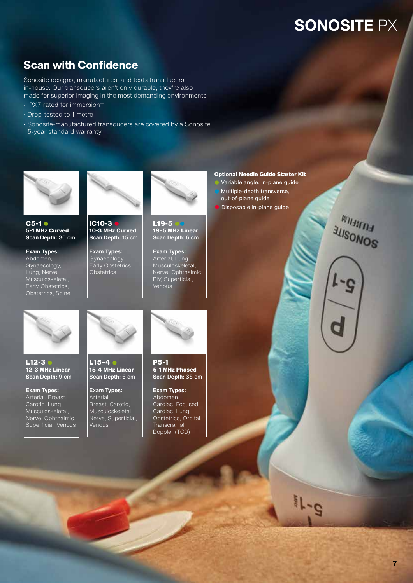### Scan with Confidence

Sonosite designs, manufactures, and tests transducers in-house. Our transducers aren't only durable, they're also made for superior imaging in the most demanding environments.

- IPX7 rated for immersion\*\*
- Drop-tested to 1 metre
- Sonosite-manufactured transducers are covered by a Sonosite 5-year standard warranty



**C5-1** l **5-1 MHz Curved Scan Depth:** 30 cm

**Exam Types:**  Abdomen, Gynaecology, Lung, Nerve, Musculoskeletal, Early Obstetrics. Obstetrics, Spine



**IC10-3** l **10-3 MHz Curved Scan Depth:** 15 cm

**Exam Types:**  Gynaecology, Early Obstetrics, **Obstetrics** 



L19-5 **19–5 MHz Linear Scan Depth:** 6 cm

**Exam Types:**  Arterial, Lung, Musculoskeletal, Nerve, Ophthalmic, PIV, Superficial, Venous

#### **Optional Needle Guide Starter Kit**

Variable angle, in-plane guide Multiple-depth transverse, out-of-plane guide Disposable in-plane guide





**L12-3** l **12-3 MHz Linear Scan Depth:** 9 cm

**Exam Types:**  Arterial, Breast, Carotid, Lung, Musculoskeletal, Nerve, Ophthalmic, Superficial, Venous



**L15–4** l **15-4 MHz Linear Scan Depth:** 6 cm

**Exam Types:**  Arterial, Breast, Carotid, Musculoskeletal, Nerve, Superficial, Venous



**P5-1 5-1 MHz Phased Scan Depth:** 35 cm

**Exam Types:**  Abdomen, Cardiac, Focused Cardiac, Lung, Obstetrics, Orbital, **Transcranial** Doppler (TCD)



 $e^{-1}$